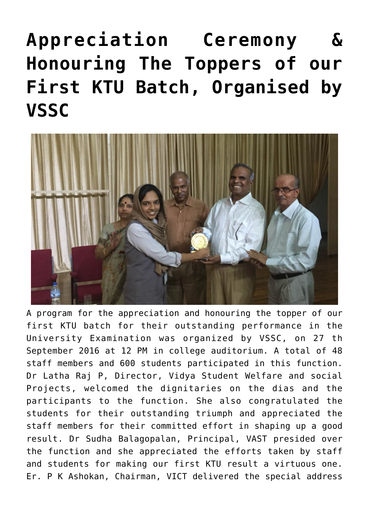## **[Appreciation Ceremony &](https://news.vidyaacademy.ac.in/2016/09/27/appreciation-ceremony-honouring-the-toppers-of-our-first-ktu-batch-organised-by-vssc/) [Honouring The Toppers of our](https://news.vidyaacademy.ac.in/2016/09/27/appreciation-ceremony-honouring-the-toppers-of-our-first-ktu-batch-organised-by-vssc/) [First KTU Batch, Organised by](https://news.vidyaacademy.ac.in/2016/09/27/appreciation-ceremony-honouring-the-toppers-of-our-first-ktu-batch-organised-by-vssc/) [VSSC](https://news.vidyaacademy.ac.in/2016/09/27/appreciation-ceremony-honouring-the-toppers-of-our-first-ktu-batch-organised-by-vssc/)**



A program for the appreciation and honouring the topper of our first KTU batch for their outstanding performance in the University Examination was organized by VSSC, on 27 th September 2016 at 12 PM in college auditorium. A total of 48 staff members and 600 students participated in this function. Dr Latha Raj P, Director, Vidya Student Welfare and social Projects, welcomed the dignitaries on the dias and the participants to the function. She also congratulated the students for their outstanding triumph and appreciated the staff members for their committed effort in shaping up a good result. Dr Sudha Balagopalan, Principal, VAST presided over the function and she appreciated the efforts taken by staff and students for making our first KTU result a virtuous one. Er. P K Ashokan, Chairman, VICT delivered the special address